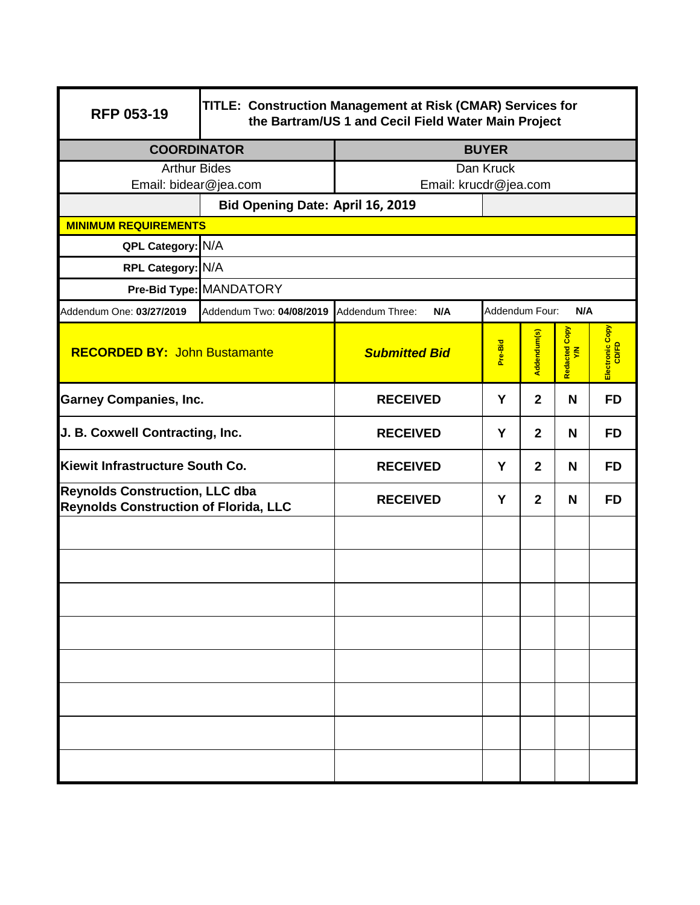| <b>RFP 053-19</b>                                                                     | TITLE: Construction Management at Risk (CMAR) Services for<br>the Bartram/US 1 and Cecil Field Water Main Project |                       |                       |                |                    |                 |  |
|---------------------------------------------------------------------------------------|-------------------------------------------------------------------------------------------------------------------|-----------------------|-----------------------|----------------|--------------------|-----------------|--|
| <b>COORDINATOR</b>                                                                    |                                                                                                                   | <b>BUYER</b>          |                       |                |                    |                 |  |
| <b>Arthur Bides</b>                                                                   |                                                                                                                   | Dan Kruck             |                       |                |                    |                 |  |
| Email: bidear@jea.com                                                                 |                                                                                                                   | Email: krucdr@jea.com |                       |                |                    |                 |  |
|                                                                                       | Bid Opening Date: April 16, 2019                                                                                  |                       |                       |                |                    |                 |  |
| <b>MINIMUM REQUIREMENTS</b>                                                           |                                                                                                                   |                       |                       |                |                    |                 |  |
|                                                                                       | QPL Category: N/A                                                                                                 |                       |                       |                |                    |                 |  |
| RPL Category: N/A                                                                     |                                                                                                                   |                       |                       |                |                    |                 |  |
|                                                                                       | Pre-Bid Type: MANDATORY                                                                                           |                       |                       |                |                    |                 |  |
| Addendum One: 03/27/2019                                                              | Addendum Two: 04/08/2019 Addendum Three:                                                                          | N/A                   | Addendum Four:<br>N/A |                |                    |                 |  |
| <b>RECORDED BY: John Bustamante</b>                                                   |                                                                                                                   | <b>Submitted Bid</b>  | Pre-Bid               | Addendum(s)    | Redacted Copy<br>ξ | Electronic Copy |  |
| <b>Garney Companies, Inc.</b>                                                         |                                                                                                                   | <b>RECEIVED</b>       | Y                     | $\overline{2}$ | N                  | <b>FD</b>       |  |
| J. B. Coxwell Contracting, Inc.                                                       |                                                                                                                   | <b>RECEIVED</b>       | Y                     | $\overline{2}$ | N                  | <b>FD</b>       |  |
| Kiewit Infrastructure South Co.                                                       |                                                                                                                   | <b>RECEIVED</b>       | Y                     | $\mathbf{2}$   | N                  | <b>FD</b>       |  |
| <b>Reynolds Construction, LLC dba</b><br><b>Reynolds Construction of Florida, LLC</b> |                                                                                                                   | <b>RECEIVED</b>       | Y                     | $\overline{2}$ | N                  | <b>FD</b>       |  |
|                                                                                       |                                                                                                                   |                       |                       |                |                    |                 |  |
|                                                                                       |                                                                                                                   |                       |                       |                |                    |                 |  |
|                                                                                       |                                                                                                                   |                       |                       |                |                    |                 |  |
|                                                                                       |                                                                                                                   |                       |                       |                |                    |                 |  |
|                                                                                       |                                                                                                                   |                       |                       |                |                    |                 |  |
|                                                                                       |                                                                                                                   |                       |                       |                |                    |                 |  |
|                                                                                       |                                                                                                                   |                       |                       |                |                    |                 |  |
|                                                                                       |                                                                                                                   |                       |                       |                |                    |                 |  |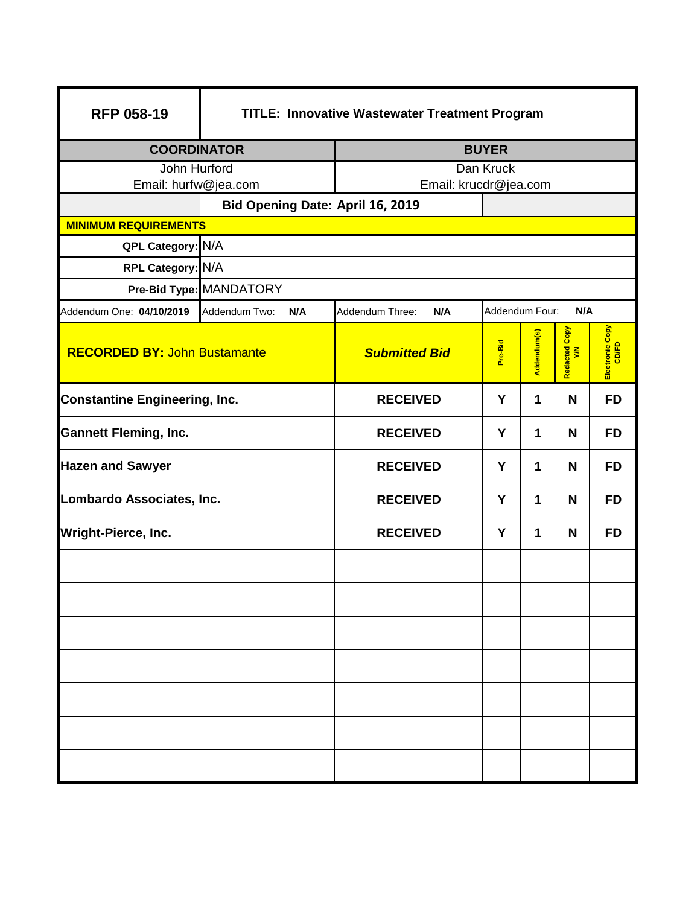| <b>RFP 058-19</b>                    | TITLE: Innovative Wastewater Treatment Program |                        |                       |             |                     |                 |  |
|--------------------------------------|------------------------------------------------|------------------------|-----------------------|-------------|---------------------|-----------------|--|
| <b>COORDINATOR</b>                   |                                                | <b>BUYER</b>           |                       |             |                     |                 |  |
| John Hurford                         |                                                | Dan Kruck              |                       |             |                     |                 |  |
|                                      | Email: hurfw@jea.com                           |                        | Email: krucdr@jea.com |             |                     |                 |  |
|                                      | Bid Opening Date: April 16, 2019               |                        |                       |             |                     |                 |  |
| <b>MINIMUM REQUIREMENTS</b>          |                                                |                        |                       |             |                     |                 |  |
| QPL Category: N/A                    |                                                |                        |                       |             |                     |                 |  |
| RPL Category: N/A                    |                                                |                        |                       |             |                     |                 |  |
|                                      | Pre-Bid Type: MANDATORY                        |                        |                       |             |                     |                 |  |
| Addendum One: 04/10/2019             | Addendum Two:<br>N/A                           | Addendum Three:<br>N/A | Addendum Four:        |             | N/A                 |                 |  |
| <b>RECORDED BY: John Bustamante</b>  |                                                | <b>Submitted Bid</b>   | Pre-Bid               | Addendum(s) | Redacted Copy<br>YM | Electronic Copy |  |
| <b>Constantine Engineering, Inc.</b> |                                                | <b>RECEIVED</b>        | Y                     | 1           | N                   | <b>FD</b>       |  |
| <b>Gannett Fleming, Inc.</b>         |                                                | <b>RECEIVED</b>        | Y                     | 1           | N                   | <b>FD</b>       |  |
| <b>Hazen and Sawyer</b>              |                                                | <b>RECEIVED</b>        | Y                     | 1           | N                   | <b>FD</b>       |  |
| Lombardo Associates, Inc.            |                                                | <b>RECEIVED</b>        | Y                     | 1           | N                   | <b>FD</b>       |  |
| Wright-Pierce, Inc.                  |                                                | <b>RECEIVED</b>        | Y                     | 1           | N                   | <b>FD</b>       |  |
|                                      |                                                |                        |                       |             |                     |                 |  |
|                                      |                                                |                        |                       |             |                     |                 |  |
|                                      |                                                |                        |                       |             |                     |                 |  |
|                                      |                                                |                        |                       |             |                     |                 |  |
|                                      |                                                |                        |                       |             |                     |                 |  |
|                                      |                                                |                        |                       |             |                     |                 |  |
|                                      |                                                |                        |                       |             |                     |                 |  |